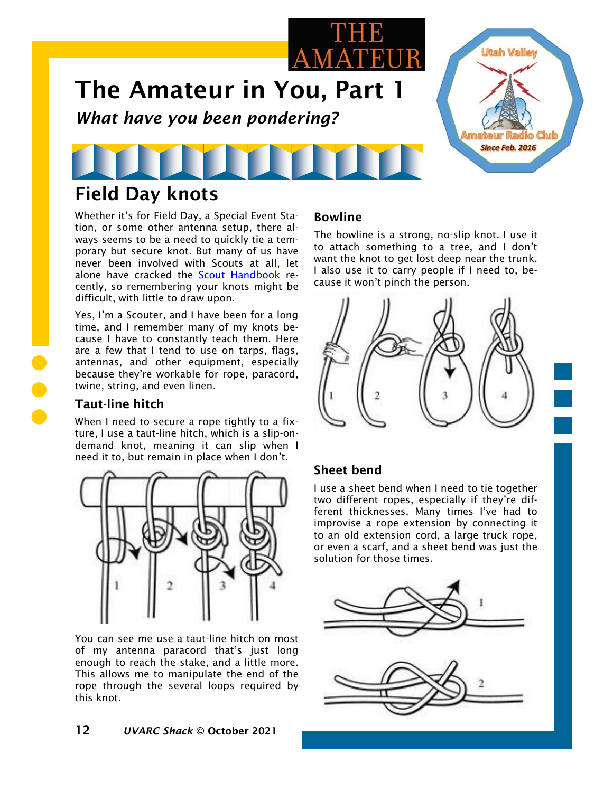

# Field Day knots

Whether it's for Field Day, a Special Event Station, or some other antenna setup, there always seems to be a need to quickly tie a temporary but secure knot. But many of us have never been involved with Scouts at all, let alone have cracked the [Scout Handbook](https://en.wikipedia.org/wiki/Boy_Scout_Handbook) recently, so remembering your knots might be difficult, with little to draw upon.

Yes, I'm a Scouter, and I have been for a long time, and I remember many of my knots because I have to constantly teach them. Here are a few that I tend to use on tarps, flags, antennas, and other equipment, especially because they're workable for rope, paracord, twine, string, and even linen.

### Taut-line hitch

When I need to secure a rope tightly to a fixture, I use a taut-line hitch, which is a slip-ondemand knot, meaning it can slip when I need it to, but remain in place when I don't.



You can see me use a taut-line hitch on most of my antenna paracord that's just long enough to reach the stake, and a little more. This allows me to manipulate the end of the rope through the several loops required by this knot.

#### Bowline

The bowline is a strong, no-slip knot. I use it to attach something to a tree, and I don't want the knot to get lost deep near the trunk. I also use it to carry people if I need to, because it won't pinch the person.



## Sheet bend

I use a sheet bend when I need to tie together two different ropes, especially if they're different thicknesses. Many times I've had to improvise a rope extension by connecting it to an old extension cord, a large truck rope, or even a scarf, and a sheet bend was just the solution for those times.